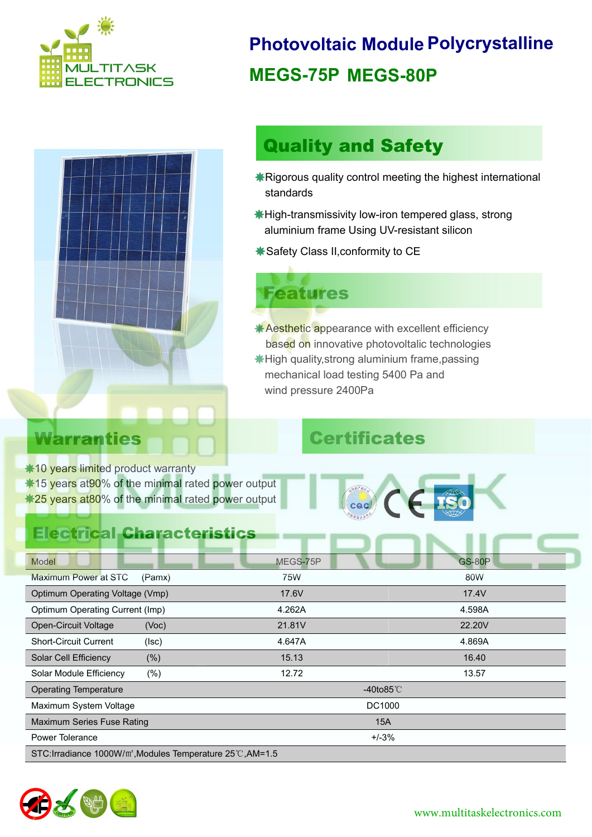



# **Photovoltaic Module Polycrystalline MEGS-75P MEGS-80P**

# Quality and Safety

- Rigorous quality control meeting the highest international standards
- High-transmissivity low-iron tempered glass, strong aluminium frame Using UV-resistant silicon
- Safety Class II,conformity to CE

# Features

**Aesthetic appearance with excellent efficiency**  High quality,strong aluminium frame,passing mechanical load testing 5400 Pa and wind pressure 2400Pa based on innovative photovoltalic technologies

# Warranties **Certificates**

**\*10 years limited product warranty** \*15 years at 90% of the minimal rated power output \*25 years at 80% of the minimal rated power output

#### Electrical Characteristics

cac

| Model                                                                   | MEGS-75P     | <b>GS-80P</b> |  |  |
|-------------------------------------------------------------------------|--------------|---------------|--|--|
| <b>Maximum Power at STC</b><br>(Pamx)                                   | 75W          | 80W           |  |  |
| Optimum Operating Voltage (Vmp)                                         | 17.6V        | 17.4V         |  |  |
| Optimum Operating Current (Imp)                                         | 4.262A       | 4.598A        |  |  |
| <b>Open-Circuit Voltage</b><br>(Voc)                                    | 21.81V       | 22.20V        |  |  |
| <b>Short-Circuit Current</b><br>(Isc)                                   | 4.647A       | 4.869A        |  |  |
| Solar Cell Efficiency<br>$(\% )$                                        | 15.13        | 16.40         |  |  |
| $(\% )$<br>Solar Module Efficiency                                      | 12.72        | 13.57         |  |  |
| <b>Operating Temperature</b>                                            | -40to85 $°C$ |               |  |  |
| Maximum System Voltage                                                  | DC1000       |               |  |  |
| Maximum Series Fuse Rating                                              | 15A          |               |  |  |
| Power Tolerance                                                         | $+/-3%$      |               |  |  |
| STC: Irradiance 1000W/m <sup>2</sup> , Modules Temperature 25°C, AM=1.5 |              |               |  |  |